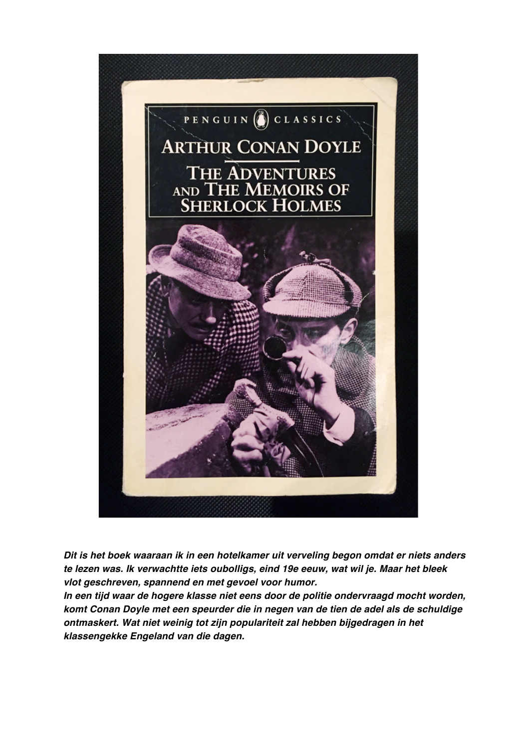

*Dit is het boek waaraan ik in een hotelkamer uit verveling begon omdat er niets anders te lezen was. Ik verwachtte iets oubolligs, eind 19e eeuw, wat wil je. Maar het bleek vlot geschreven, spannend en met gevoel voor humor.* 

*In een tijd waar de hogere klasse niet eens door de politie ondervraagd mocht worden, komt Conan Doyle met een speurder die in negen van de tien de adel als de schuldige ontmaskert. Wat niet weinig tot zijn populariteit zal hebben bijgedragen in het klassengekke Engeland van die dagen.*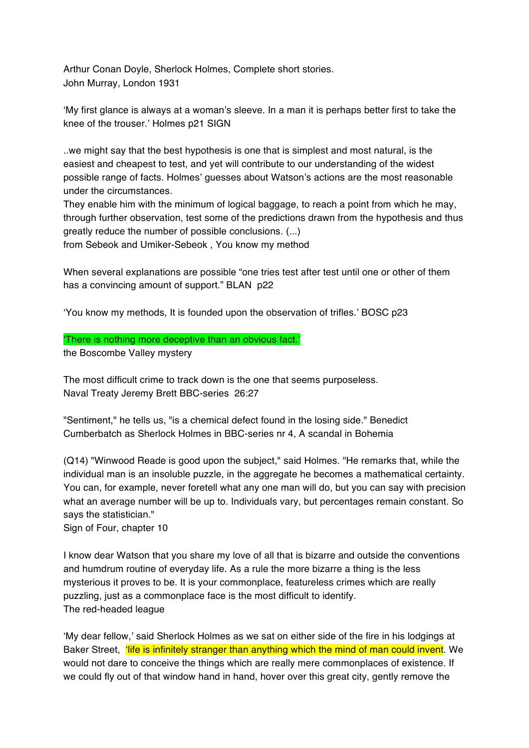Arthur Conan Doyle, Sherlock Holmes, Complete short stories. John Murray, London 1931

'My first glance is always at a woman's sleeve. In a man it is perhaps better first to take the knee of the trouser.' Holmes p21 SIGN

..we might say that the best hypothesis is one that is simplest and most natural, is the easiest and cheapest to test, and yet will contribute to our understanding of the widest possible range of facts. Holmes' guesses about Watson's actions are the most reasonable under the circumstances.

They enable him with the minimum of logical baggage, to reach a point from which he may, through further observation, test some of the predictions drawn from the hypothesis and thus greatly reduce the number of possible conclusions. (...)

from Sebeok and Umiker-Sebeok , You know my method

When several explanations are possible "one tries test after test until one or other of them has a convincing amount of support." BLAN p22

'You know my methods, It is founded upon the observation of trifles.' BOSC p23

'There is nothing more deceptive than an obvious fact.'

the Boscombe Valley mystery

The most difficult crime to track down is the one that seems purposeless. Naval Treaty Jeremy Brett BBC-series 26:27

"Sentiment," he tells us, "is a chemical defect found in the losing side." Benedict Cumberbatch as Sherlock Holmes in BBC-series nr 4, A scandal in Bohemia

(Q14) "Winwood Reade is good upon the subject," said Holmes. "He remarks that, while the individual man is an insoluble puzzle, in the aggregate he becomes a mathematical certainty. You can, for example, never foretell what any one man will do, but you can say with precision what an average number will be up to. Individuals vary, but percentages remain constant. So says the statistician."

Sign of Four, chapter 10

I know dear Watson that you share my love of all that is bizarre and outside the conventions and humdrum routine of everyday life. As a rule the more bizarre a thing is the less mysterious it proves to be. It is your commonplace, featureless crimes which are really puzzling, just as a commonplace face is the most difficult to identify. The red-headed league

'My dear fellow,' said Sherlock Holmes as we sat on either side of the fire in his lodgings at Baker Street. *'life is infinitely stranger than anything which the mind of man could invent*. We would not dare to conceive the things which are really mere commonplaces of existence. If we could fly out of that window hand in hand, hover over this great city, gently remove the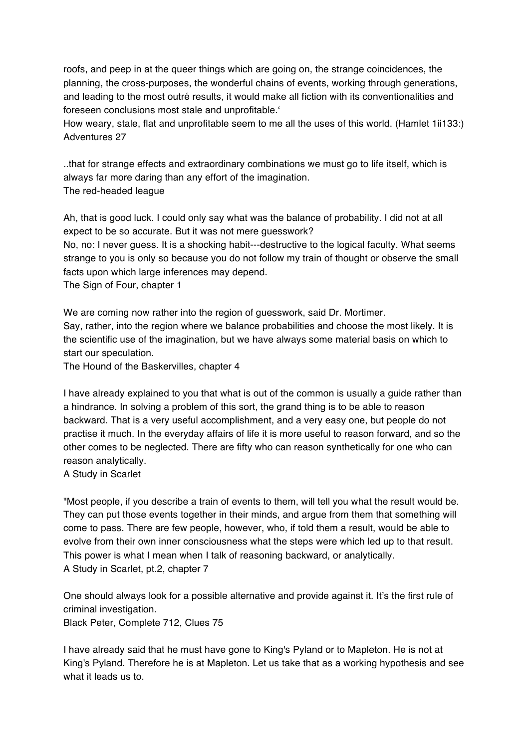roofs, and peep in at the queer things which are going on, the strange coincidences, the planning, the cross-purposes, the wonderful chains of events, working through generations, and leading to the most outré results, it would make all fiction with its conventionalities and foreseen conclusions most stale and unprofitable.'

How weary, stale, flat and unprofitable seem to me all the uses of this world. (Hamlet 1ii133:) Adventures 27

..that for strange effects and extraordinary combinations we must go to life itself, which is always far more daring than any effort of the imagination. The red-headed league

Ah, that is good luck. I could only say what was the balance of probability. I did not at all expect to be so accurate. But it was not mere guesswork?

No, no: I never guess. It is a shocking habit---destructive to the logical faculty. What seems strange to you is only so because you do not follow my train of thought or observe the small facts upon which large inferences may depend.

The Sign of Four, chapter 1

We are coming now rather into the region of guesswork, said Dr. Mortimer. Say, rather, into the region where we balance probabilities and choose the most likely. It is the scientific use of the imagination, but we have always some material basis on which to start our speculation.

The Hound of the Baskervilles, chapter 4

I have already explained to you that what is out of the common is usually a guide rather than a hindrance. In solving a problem of this sort, the grand thing is to be able to reason backward. That is a very useful accomplishment, and a very easy one, but people do not practise it much. In the everyday affairs of life it is more useful to reason forward, and so the other comes to be neglected. There are fifty who can reason synthetically for one who can reason analytically.

A Study in Scarlet

"Most people, if you describe a train of events to them, will tell you what the result would be. They can put those events together in their minds, and argue from them that something will come to pass. There are few people, however, who, if told them a result, would be able to evolve from their own inner consciousness what the steps were which led up to that result. This power is what I mean when I talk of reasoning backward, or analytically. A Study in Scarlet, pt.2, chapter 7

One should always look for a possible alternative and provide against it. It's the first rule of criminal investigation. Black Peter, Complete 712, Clues 75

I have already said that he must have gone to King's Pyland or to Mapleton. He is not at King's Pyland. Therefore he is at Mapleton. Let us take that as a working hypothesis and see what it leads us to.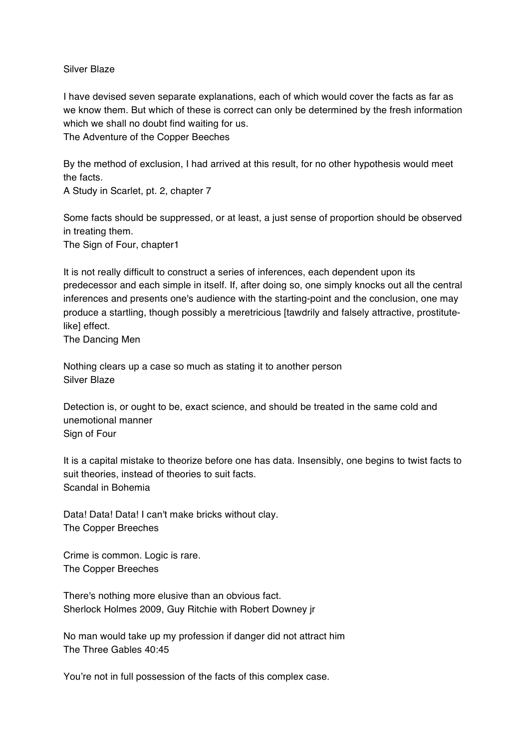## Silver Blaze

I have devised seven separate explanations, each of which would cover the facts as far as we know them. But which of these is correct can only be determined by the fresh information which we shall no doubt find waiting for us.

The Adventure of the Copper Beeches

By the method of exclusion, I had arrived at this result, for no other hypothesis would meet the facts.

A Study in Scarlet, pt. 2, chapter 7

Some facts should be suppressed, or at least, a just sense of proportion should be observed in treating them.

The Sign of Four, chapter1

It is not really difficult to construct a series of inferences, each dependent upon its predecessor and each simple in itself. If, after doing so, one simply knocks out all the central inferences and presents one's audience with the starting-point and the conclusion, one may produce a startling, though possibly a meretricious [tawdrily and falsely attractive, prostitutelike] effect.

The Dancing Men

Nothing clears up a case so much as stating it to another person Silver Blaze

Detection is, or ought to be, exact science, and should be treated in the same cold and unemotional manner Sign of Four

It is a capital mistake to theorize before one has data. Insensibly, one begins to twist facts to suit theories, instead of theories to suit facts. Scandal in Bohemia

Data! Data! Data! I can't make bricks without clay. The Copper Breeches

Crime is common. Logic is rare. The Copper Breeches

There's nothing more elusive than an obvious fact. Sherlock Holmes 2009, Guy Ritchie with Robert Downey jr

No man would take up my profession if danger did not attract him The Three Gables 40:45

You're not in full possession of the facts of this complex case.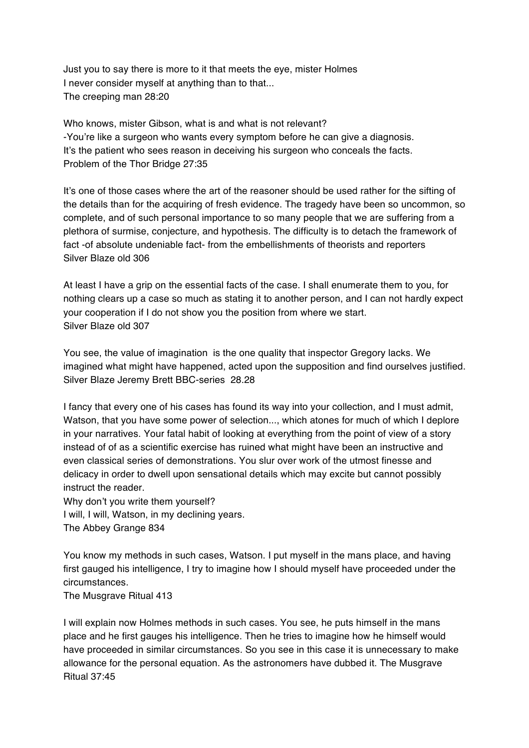Just you to say there is more to it that meets the eye, mister Holmes I never consider myself at anything than to that... The creeping man 28:20

Who knows, mister Gibson, what is and what is not relevant? -You're like a surgeon who wants every symptom before he can give a diagnosis. It's the patient who sees reason in deceiving his surgeon who conceals the facts. Problem of the Thor Bridge 27:35

It's one of those cases where the art of the reasoner should be used rather for the sifting of the details than for the acquiring of fresh evidence. The tragedy have been so uncommon, so complete, and of such personal importance to so many people that we are suffering from a plethora of surmise, conjecture, and hypothesis. The difficulty is to detach the framework of fact -of absolute undeniable fact- from the embellishments of theorists and reporters Silver Blaze old 306

At least I have a grip on the essential facts of the case. I shall enumerate them to you, for nothing clears up a case so much as stating it to another person, and I can not hardly expect your cooperation if I do not show you the position from where we start. Silver Blaze old 307

You see, the value of imagination is the one quality that inspector Gregory lacks. We imagined what might have happened, acted upon the supposition and find ourselves justified. Silver Blaze Jeremy Brett BBC-series 28.28

I fancy that every one of his cases has found its way into your collection, and I must admit, Watson, that you have some power of selection..., which atones for much of which I deplore in your narratives. Your fatal habit of looking at everything from the point of view of a story instead of of as a scientific exercise has ruined what might have been an instructive and even classical series of demonstrations. You slur over work of the utmost finesse and delicacy in order to dwell upon sensational details which may excite but cannot possibly instruct the reader.

Why don't you write them yourself? I will, I will, Watson, in my declining years. The Abbey Grange 834

You know my methods in such cases, Watson. I put myself in the mans place, and having first gauged his intelligence, I try to imagine how I should myself have proceeded under the circumstances.

The Musgrave Ritual 413

I will explain now Holmes methods in such cases. You see, he puts himself in the mans place and he first gauges his intelligence. Then he tries to imagine how he himself would have proceeded in similar circumstances. So you see in this case it is unnecessary to make allowance for the personal equation. As the astronomers have dubbed it. The Musgrave Ritual 37:45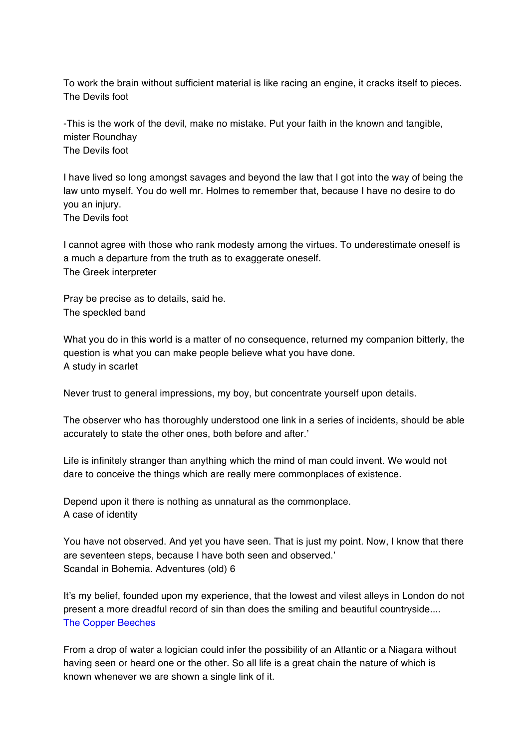To work the brain without sufficient material is like racing an engine, it cracks itself to pieces. The Devils foot

-This is the work of the devil, make no mistake. Put your faith in the known and tangible, mister Roundhay The Devils foot

I have lived so long amongst savages and beyond the law that I got into the way of being the law unto myself. You do well mr. Holmes to remember that, because I have no desire to do you an injury. The Devils foot

I cannot agree with those who rank modesty among the virtues. To underestimate oneself is a much a departure from the truth as to exaggerate oneself. The Greek interpreter

Pray be precise as to details, said he. The speckled band

What you do in this world is a matter of no consequence, returned my companion bitterly, the question is what you can make people believe what you have done. A study in scarlet

Never trust to general impressions, my boy, but concentrate yourself upon details.

The observer who has thoroughly understood one link in a series of incidents, should be able accurately to state the other ones, both before and after.'

Life is infinitely stranger than anything which the mind of man could invent. We would not dare to conceive the things which are really mere commonplaces of existence.

Depend upon it there is nothing as unnatural as the commonplace. A case of identity

You have not observed. And yet you have seen. That is just my point. Now, I know that there are seventeen steps, because I have both seen and observed.' Scandal in Bohemia. Adventures (old) 6

It's my belief, founded upon my experience, that the lowest and vilest alleys in London do not present a more dreadful record of sin than does the smiling and beautiful countryside.... The Copper Beeches

From a drop of water a logician could infer the possibility of an Atlantic or a Niagara without having seen or heard one or the other. So all life is a great chain the nature of which is known whenever we are shown a single link of it.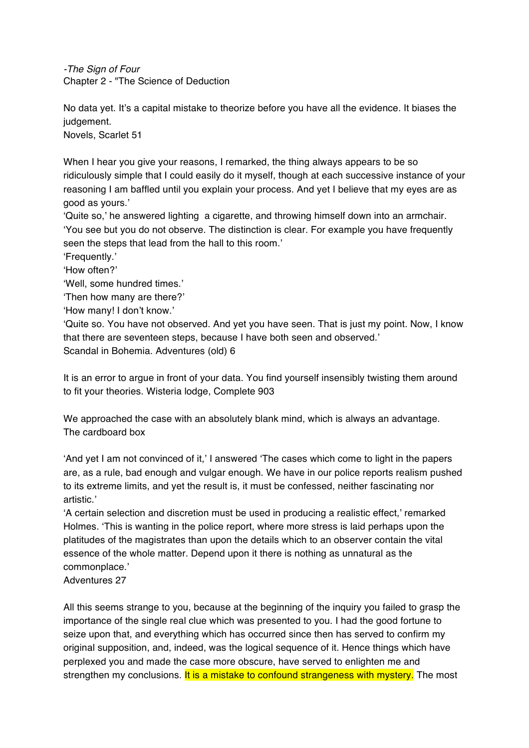*-The Sign of Four* Chapter 2 - "The Science of Deduction

No data yet. It's a capital mistake to theorize before you have all the evidence. It biases the judgement.

Novels, Scarlet 51

When I hear you give your reasons, I remarked, the thing always appears to be so ridiculously simple that I could easily do it myself, though at each successive instance of your reasoning I am baffled until you explain your process. And yet I believe that my eyes are as good as yours.'

'Quite so,' he answered lighting a cigarette, and throwing himself down into an armchair. 'You see but you do not observe. The distinction is clear. For example you have frequently seen the steps that lead from the hall to this room.'

'Frequently.'

'How often?'

'Well, some hundred times.'

'Then how many are there?'

'How many! I don't know.'

'Quite so. You have not observed. And yet you have seen. That is just my point. Now, I know that there are seventeen steps, because I have both seen and observed.' Scandal in Bohemia. Adventures (old) 6

It is an error to argue in front of your data. You find yourself insensibly twisting them around to fit your theories. Wisteria lodge, Complete 903

We approached the case with an absolutely blank mind, which is always an advantage. The cardboard box

'And yet I am not convinced of it,' I answered 'The cases which come to light in the papers are, as a rule, bad enough and vulgar enough. We have in our police reports realism pushed to its extreme limits, and yet the result is, it must be confessed, neither fascinating nor artistic.'

'A certain selection and discretion must be used in producing a realistic effect,' remarked Holmes. 'This is wanting in the police report, where more stress is laid perhaps upon the platitudes of the magistrates than upon the details which to an observer contain the vital essence of the whole matter. Depend upon it there is nothing as unnatural as the commonplace.'

Adventures 27

All this seems strange to you, because at the beginning of the inquiry you failed to grasp the importance of the single real clue which was presented to you. I had the good fortune to seize upon that, and everything which has occurred since then has served to confirm my original supposition, and, indeed, was the logical sequence of it. Hence things which have perplexed you and made the case more obscure, have served to enlighten me and strengthen my conclusions. It is a mistake to confound strangeness with mystery. The most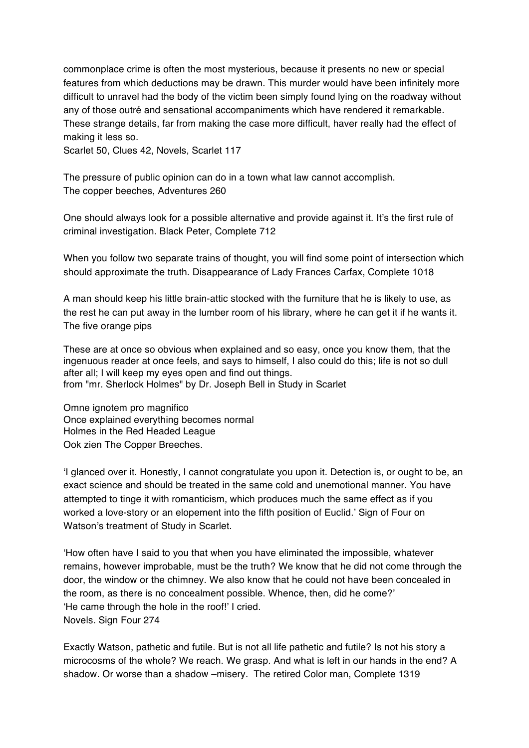commonplace crime is often the most mysterious, because it presents no new or special features from which deductions may be drawn. This murder would have been infinitely more difficult to unravel had the body of the victim been simply found lying on the roadway without any of those outré and sensational accompaniments which have rendered it remarkable. These strange details, far from making the case more difficult, haver really had the effect of making it less so.

Scarlet 50, Clues 42, Novels, Scarlet 117

The pressure of public opinion can do in a town what law cannot accomplish. The copper beeches, Adventures 260

One should always look for a possible alternative and provide against it. It's the first rule of criminal investigation. Black Peter, Complete 712

When you follow two separate trains of thought, you will find some point of intersection which should approximate the truth. Disappearance of Lady Frances Carfax, Complete 1018

A man should keep his little brain-attic stocked with the furniture that he is likely to use, as the rest he can put away in the lumber room of his library, where he can get it if he wants it. The five orange pips

These are at once so obvious when explained and so easy, once you know them, that the ingenuous reader at once feels, and says to himself, I also could do this; life is not so dull after all; I will keep my eyes open and find out things. from "mr. Sherlock Holmes" by Dr. Joseph Bell in Study in Scarlet

Omne ignotem pro magnifico Once explained everything becomes normal Holmes in the Red Headed League Ook zien The Copper Breeches.

'I glanced over it. Honestly, I cannot congratulate you upon it. Detection is, or ought to be, an exact science and should be treated in the same cold and unemotional manner. You have attempted to tinge it with romanticism, which produces much the same effect as if you worked a love-story or an elopement into the fifth position of Euclid.' Sign of Four on Watson's treatment of Study in Scarlet.

'How often have I said to you that when you have eliminated the impossible, whatever remains, however improbable, must be the truth? We know that he did not come through the door, the window or the chimney. We also know that he could not have been concealed in the room, as there is no concealment possible. Whence, then, did he come?' 'He came through the hole in the roof!' I cried. Novels. Sign Four 274

Exactly Watson, pathetic and futile. But is not all life pathetic and futile? Is not his story a microcosms of the whole? We reach. We grasp. And what is left in our hands in the end? A shadow. Or worse than a shadow –misery. The retired Color man, Complete 1319